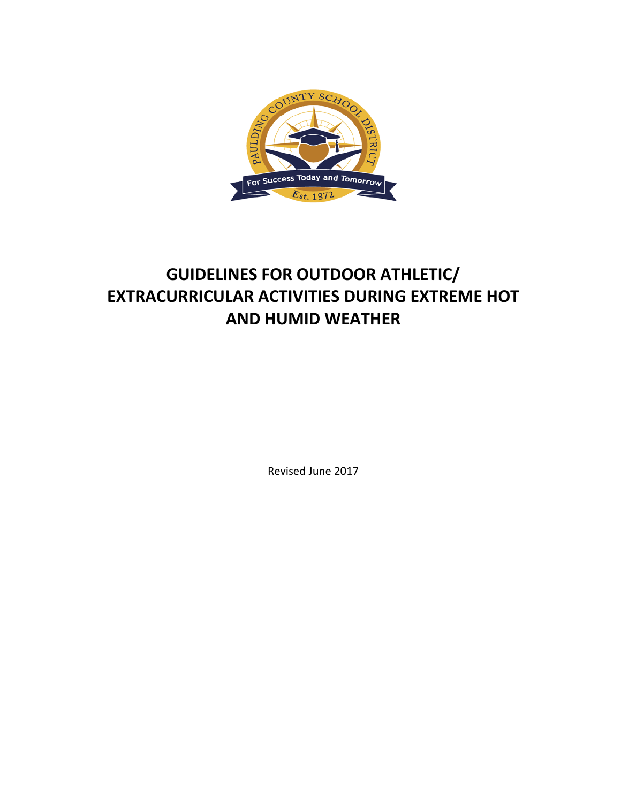

# **GUIDELINES FOR OUTDOOR ATHLETIC/ EXTRACURRICULAR ACTIVITIES DURING EXTREME HOT AND HUMID WEATHER**

Revised June 2017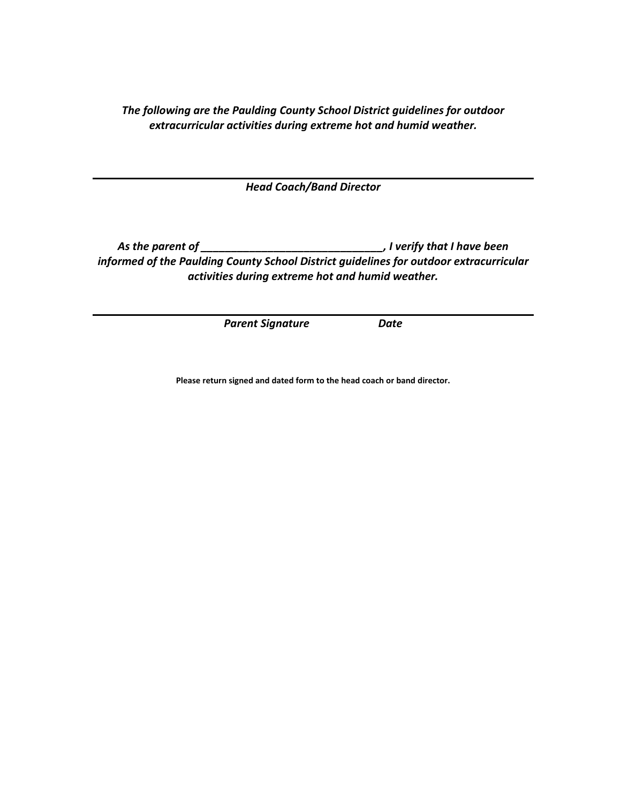*The following are the Paulding County School District guidelines for outdoor extracurricular activities during extreme hot and humid weather.*

*Head Coach/Band Director*

*As the parent of \_\_\_\_\_\_\_\_\_\_\_\_\_\_\_\_\_\_\_\_\_\_\_\_\_\_\_\_\_\_, I verify that I have been informed of the Paulding County School District guidelines for outdoor extracurricular activities during extreme hot and humid weather.*

*Parent Signature Date*

**Please return signed and dated form to the head coach or band director.**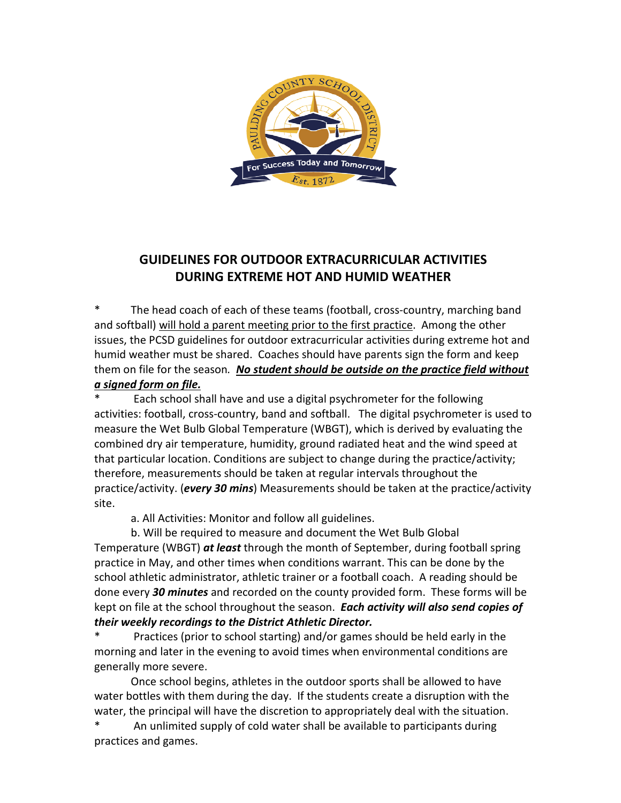

# **GUIDELINES FOR OUTDOOR EXTRACURRICULAR ACTIVITIES DURING EXTREME HOT AND HUMID WEATHER**

The head coach of each of these teams (football, cross-country, marching band and softball) will hold a parent meeting prior to the first practice. Among the other issues, the PCSD guidelines for outdoor extracurricular activities during extreme hot and humid weather must be shared. Coaches should have parents sign the form and keep them on file for the season*. No student should be outside on the practice field without* 

## *a signed form on file.*

Each school shall have and use a digital psychrometer for the following activities: football, cross-country, band and softball. The digital psychrometer is used to measure the Wet Bulb Global Temperature (WBGT), which is derived by evaluating the combined dry air temperature, humidity, ground radiated heat and the wind speed at that particular location. Conditions are subject to change during the practice/activity; therefore, measurements should be taken at regular intervals throughout the practice/activity. (*every 30 mins*) Measurements should be taken at the practice/activity site.

a. All Activities: Monitor and follow all guidelines.

b. Will be required to measure and document the Wet Bulb Global Temperature (WBGT) *at least* through the month of September, during football spring practice in May, and other times when conditions warrant. This can be done by the school athletic administrator, athletic trainer or a football coach. A reading should be done every *30 minutes* and recorded on the county provided form. These forms will be kept on file at the school throughout the season. *Each activity will also send copies of their weekly recordings to the District Athletic Director.*

Practices (prior to school starting) and/or games should be held early in the morning and later in the evening to avoid times when environmental conditions are generally more severe.

Once school begins, athletes in the outdoor sports shall be allowed to have water bottles with them during the day. If the students create a disruption with the water, the principal will have the discretion to appropriately deal with the situation.

An unlimited supply of cold water shall be available to participants during practices and games.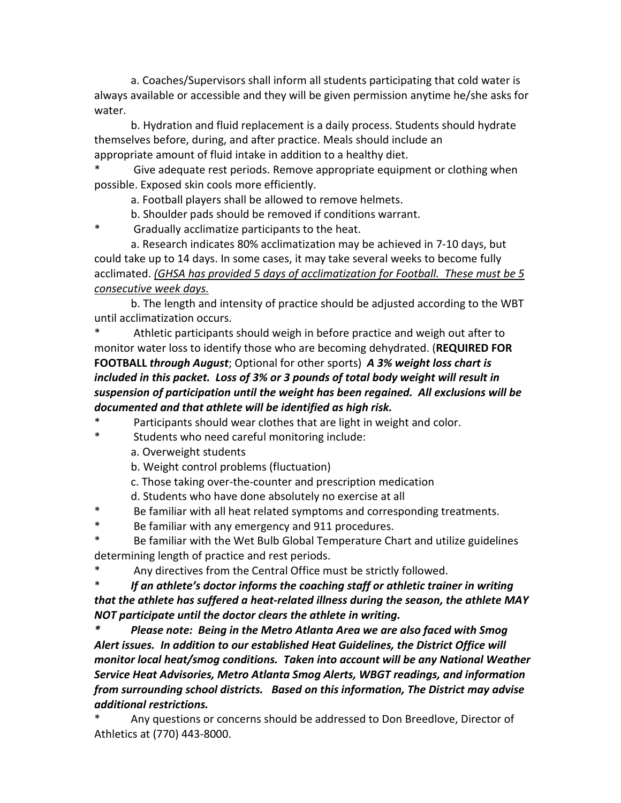a. Coaches/Supervisors shall inform all students participating that cold water is always available or accessible and they will be given permission anytime he/she asks for water.

b. Hydration and fluid replacement is a daily process. Students should hydrate themselves before, during, and after practice. Meals should include an appropriate amount of fluid intake in addition to a healthy diet.

Give adequate rest periods. Remove appropriate equipment or clothing when possible. Exposed skin cools more efficiently.

a. Football players shall be allowed to remove helmets.

b. Shoulder pads should be removed if conditions warrant.

\* Gradually acclimatize participants to the heat.

a. Research indicates 80% acclimatization may be achieved in 7-10 days, but could take up to 14 days. In some cases, it may take several weeks to become fully acclimated. *(GHSA has provided 5 days of acclimatization for Football. These must be 5 consecutive week days.*

b. The length and intensity of practice should be adjusted according to the WBT until acclimatization occurs.

Athletic participants should weigh in before practice and weigh out after to monitor water loss to identify those who are becoming dehydrated. (**REQUIRED FOR FOOTBALL** *through August*; Optional for other sports) *A 3% weight loss chart is included in this packet. Loss of 3% or 3 pounds of total body weight will result in suspension of participation until the weight has been regained. All exclusions will be documented and that athlete will be identified as high risk.*

Participants should wear clothes that are light in weight and color.

\* Students who need careful monitoring include:

a. Overweight students

b. Weight control problems (fluctuation)

c. Those taking over-the-counter and prescription medication

d. Students who have done absolutely no exercise at all

\* Be familiar with all heat related symptoms and corresponding treatments.

\* Be familiar with any emergency and 911 procedures.

Be familiar with the Wet Bulb Global Temperature Chart and utilize guidelines determining length of practice and rest periods.

Any directives from the Central Office must be strictly followed.

\* *If an athlete's doctor informs the coaching staff or athletic trainer in writing that the athlete has suffered a heat-related illness during the season, the athlete MAY NOT participate until the doctor clears the athlete in writing.*

*\* Please note: Being in the Metro Atlanta Area we are also faced with Smog Alert issues. In addition to our established Heat Guidelines, the District Office will monitor local heat/smog conditions. Taken into account will be any National Weather Service Heat Advisories, Metro Atlanta Smog Alerts, WBGT readings, and information from surrounding school districts. Based on this information, The District may advise additional restrictions.* 

Any questions or concerns should be addressed to Don Breedlove, Director of Athletics at (770) 443-8000.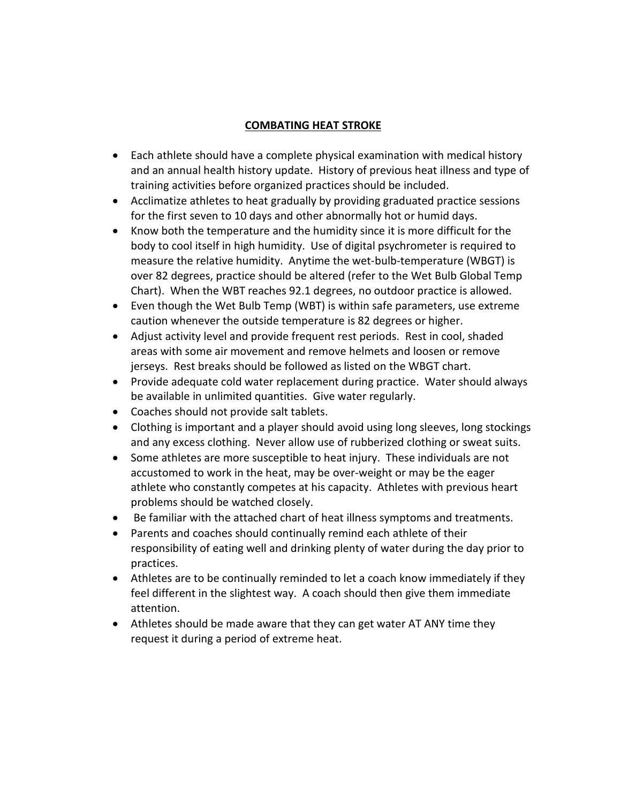### **COMBATING HEAT STROKE**

- Each athlete should have a complete physical examination with medical history and an annual health history update. History of previous heat illness and type of training activities before organized practices should be included.
- Acclimatize athletes to heat gradually by providing graduated practice sessions for the first seven to 10 days and other abnormally hot or humid days.
- Know both the temperature and the humidity since it is more difficult for the body to cool itself in high humidity. Use of digital psychrometer is required to measure the relative humidity. Anytime the wet-bulb-temperature (WBGT) is over 82 degrees, practice should be altered (refer to the Wet Bulb Global Temp Chart). When the WBT reaches 92.1 degrees, no outdoor practice is allowed.
- Even though the Wet Bulb Temp (WBT) is within safe parameters, use extreme caution whenever the outside temperature is 82 degrees or higher.
- Adjust activity level and provide frequent rest periods. Rest in cool, shaded areas with some air movement and remove helmets and loosen or remove jerseys. Rest breaks should be followed as listed on the WBGT chart.
- Provide adequate cold water replacement during practice. Water should always be available in unlimited quantities. Give water regularly.
- Coaches should not provide salt tablets.
- Clothing is important and a player should avoid using long sleeves, long stockings and any excess clothing. Never allow use of rubberized clothing or sweat suits.
- Some athletes are more susceptible to heat injury. These individuals are not accustomed to work in the heat, may be over-weight or may be the eager athlete who constantly competes at his capacity. Athletes with previous heart problems should be watched closely.
- Be familiar with the attached chart of heat illness symptoms and treatments.
- Parents and coaches should continually remind each athlete of their responsibility of eating well and drinking plenty of water during the day prior to practices.
- Athletes are to be continually reminded to let a coach know immediately if they feel different in the slightest way. A coach should then give them immediate attention.
- Athletes should be made aware that they can get water AT ANY time they request it during a period of extreme heat.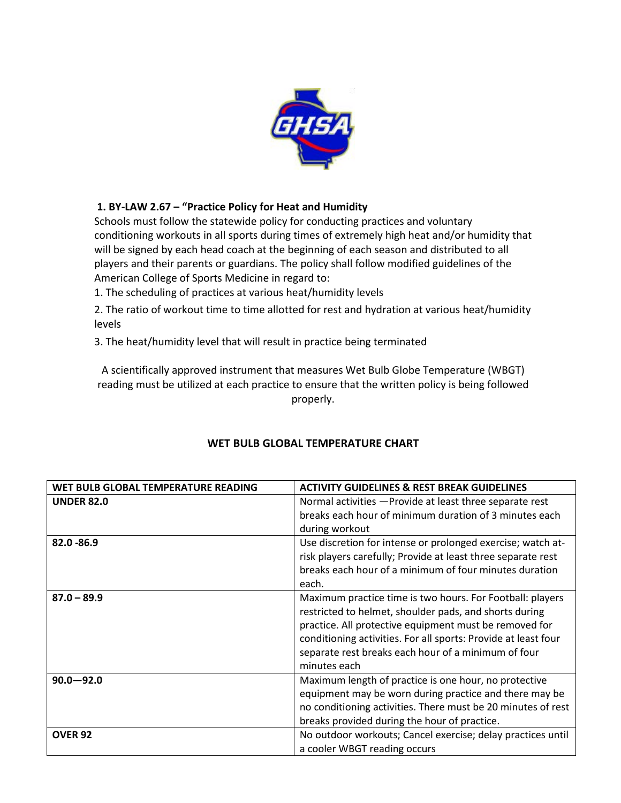

## **1. BY-LAW 2.67 – "Practice Policy for Heat and Humidity**

Schools must follow the statewide policy for conducting practices and voluntary conditioning workouts in all sports during times of extremely high heat and/or humidity that will be signed by each head coach at the beginning of each season and distributed to all players and their parents or guardians. The policy shall follow modified guidelines of the American College of Sports Medicine in regard to:

1. The scheduling of practices at various heat/humidity levels

2. The ratio of workout time to time allotted for rest and hydration at various heat/humidity levels

3. The heat/humidity level that will result in practice being terminated

A scientifically approved instrument that measures Wet Bulb Globe Temperature (WBGT) reading must be utilized at each practice to ensure that the written policy is being followed properly.

| WET BULB GLOBAL TEMPERATURE READING | <b>ACTIVITY GUIDELINES &amp; REST BREAK GUIDELINES</b>         |
|-------------------------------------|----------------------------------------------------------------|
| <b>UNDER 82.0</b>                   | Normal activities - Provide at least three separate rest       |
|                                     | breaks each hour of minimum duration of 3 minutes each         |
|                                     | during workout                                                 |
| $82.0 - 86.9$                       | Use discretion for intense or prolonged exercise; watch at-    |
|                                     | risk players carefully; Provide at least three separate rest   |
|                                     | breaks each hour of a minimum of four minutes duration         |
|                                     | each.                                                          |
| $87.0 - 89.9$                       | Maximum practice time is two hours. For Football: players      |
|                                     | restricted to helmet, shoulder pads, and shorts during         |
|                                     | practice. All protective equipment must be removed for         |
|                                     | conditioning activities. For all sports: Provide at least four |
|                                     | separate rest breaks each hour of a minimum of four            |
|                                     | minutes each                                                   |
| $90.0 - 92.0$                       | Maximum length of practice is one hour, no protective          |
|                                     | equipment may be worn during practice and there may be         |
|                                     | no conditioning activities. There must be 20 minutes of rest   |
|                                     | breaks provided during the hour of practice.                   |
| <b>OVER 92</b>                      | No outdoor workouts; Cancel exercise; delay practices until    |
|                                     | a cooler WBGT reading occurs                                   |

### **WET BULB GLOBAL TEMPERATURE CHART**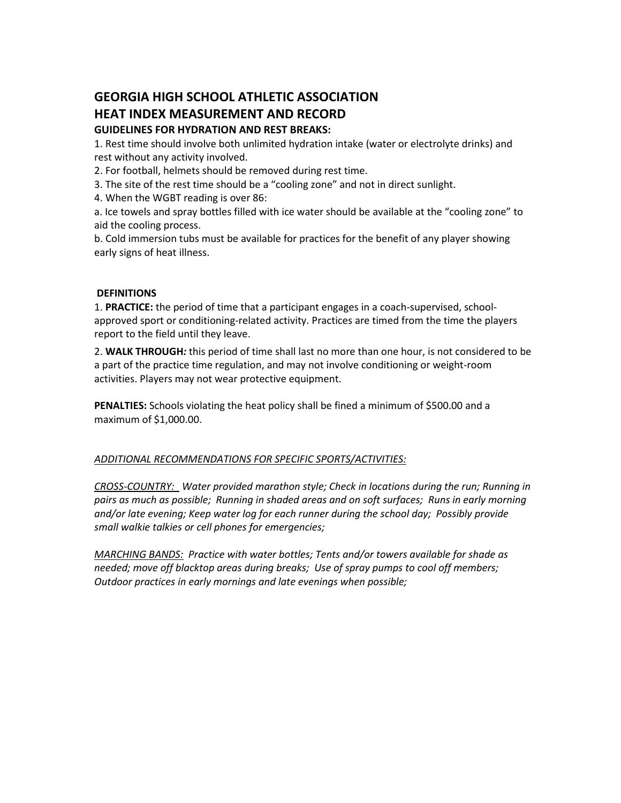# **GEORGIA HIGH SCHOOL ATHLETIC ASSOCIATION HEAT INDEX MEASUREMENT AND RECORD GUIDELINES FOR HYDRATION AND REST BREAKS:**

1. Rest time should involve both unlimited hydration intake (water or electrolyte drinks) and rest without any activity involved.

2. For football, helmets should be removed during rest time.

3. The site of the rest time should be a "cooling zone" and not in direct sunlight.

4. When the WGBT reading is over 86:

a. Ice towels and spray bottles filled with ice water should be available at the "cooling zone" to aid the cooling process.

b. Cold immersion tubs must be available for practices for the benefit of any player showing early signs of heat illness.

#### **DEFINITIONS**

1. **PRACTICE:** the period of time that a participant engages in a coach-supervised, schoolapproved sport or conditioning-related activity. Practices are timed from the time the players report to the field until they leave.

2. **WALK THROUGH***:* this period of time shall last no more than one hour, is not considered to be a part of the practice time regulation, and may not involve conditioning or weight-room activities. Players may not wear protective equipment.

**PENALTIES:** Schools violating the heat policy shall be fined a minimum of \$500.00 and a maximum of \$1,000.00.

#### *ADDITIONAL RECOMMENDATIONS FOR SPECIFIC SPORTS/ACTIVITIES:*

*CROSS-COUNTRY: Water provided marathon style; Check in locations during the run; Running in pairs as much as possible; Running in shaded areas and on soft surfaces; Runs in early morning and/or late evening; Keep water log for each runner during the school day; Possibly provide small walkie talkies or cell phones for emergencies;* 

*MARCHING BANDS: Practice with water bottles; Tents and/or towers available for shade as needed; move off blacktop areas during breaks; Use of spray pumps to cool off members; Outdoor practices in early mornings and late evenings when possible;*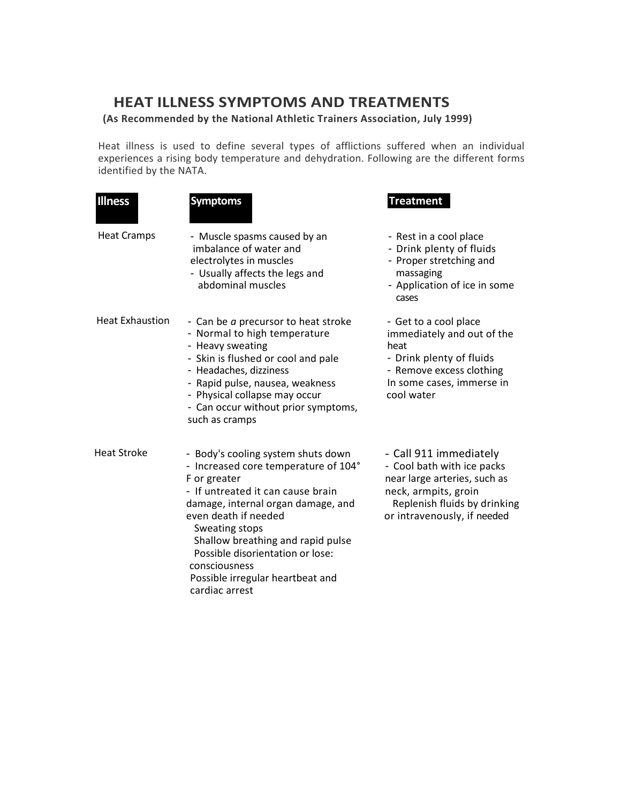# **HEAT ILLNESS SYMPTOMS AND TREATMENTS**

### **(As Recommended by the National Athletic Trainers Association, July 1999)**

Heat illness is used to define several types of afflictions suffered when an individual experiences a rising body temperature and dehydration. Following are the different forms identified by the NATA.

| <b>Illness</b>         | <b>Symptoms</b>                                                                                                                                                                                                                                                                                                                                                 | <b>Treatment</b>                                                                                                                                                            |
|------------------------|-----------------------------------------------------------------------------------------------------------------------------------------------------------------------------------------------------------------------------------------------------------------------------------------------------------------------------------------------------------------|-----------------------------------------------------------------------------------------------------------------------------------------------------------------------------|
| <b>Heat Cramps</b>     | - Muscle spasms caused by an<br>imbalance of water and<br>electrolytes in muscles<br>- Usually affects the legs and<br>abdominal muscles                                                                                                                                                                                                                        | - Rest in a cool place<br>- Drink plenty of fluids<br>- Proper stretching and<br>massaging<br>- Application of ice in some<br>cases                                         |
| <b>Heat Exhaustion</b> | - Can be a precursor to heat stroke<br>- Normal to high temperature<br>- Heavy sweating<br>- Skin is flushed or cool and pale<br>- Headaches, dizziness<br>- Rapid pulse, nausea, weakness<br>- Physical collapse may occur<br>- Can occur without prior symptoms,<br>such as cramps                                                                            | - Get to a cool place<br>immediately and out of the<br>heat<br>- Drink plenty of fluids<br>- Remove excess clothing<br>In some cases, immerse in<br>cool water              |
| <b>Heat Stroke</b>     | - Body's cooling system shuts down<br>- Increased core temperature of 104°<br>F or greater<br>- If untreated it can cause brain<br>damage, internal organ damage, and<br>even death if needed<br>Sweating stops<br>Shallow breathing and rapid pulse<br>Possible disorientation or lose:<br>consciousness<br>Possible irregular heartbeat and<br>cardiac arrest | - Call 911 immediately<br>- Cool bath with ice packs<br>near large arteries, such as<br>neck, armpits, groin<br>Replenish fluids by drinking<br>or intravenously, if needed |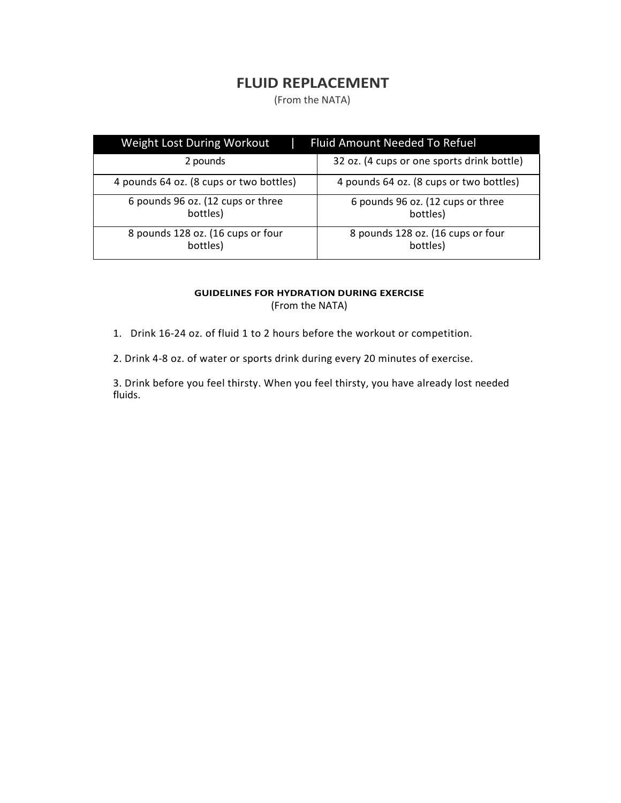# **FLUID REPLACEMENT**

(From the NATA)

| Weight Lost During Workout                    | <b>Fluid Amount Needed To Refuel</b>          |
|-----------------------------------------------|-----------------------------------------------|
| 2 pounds                                      | 32 oz. (4 cups or one sports drink bottle)    |
| 4 pounds 64 oz. (8 cups or two bottles)       | 4 pounds 64 oz. (8 cups or two bottles)       |
| 6 pounds 96 oz. (12 cups or three<br>bottles) | 6 pounds 96 oz. (12 cups or three<br>bottles) |
| 8 pounds 128 oz. (16 cups or four<br>bottles) | 8 pounds 128 oz. (16 cups or four<br>bottles) |

#### **GUIDELINES FOR HYDRATION DURING EXERCISE** (From the NATA)

- 1. Drink 16-24 oz. of fluid 1 to 2 hours before the workout or competition.
- 2. Drink 4-8 oz. of water or sports drink during every 20 minutes of exercise.

3. Drink before you feel thirsty. When you feel thirsty, you have already lost needed fluids.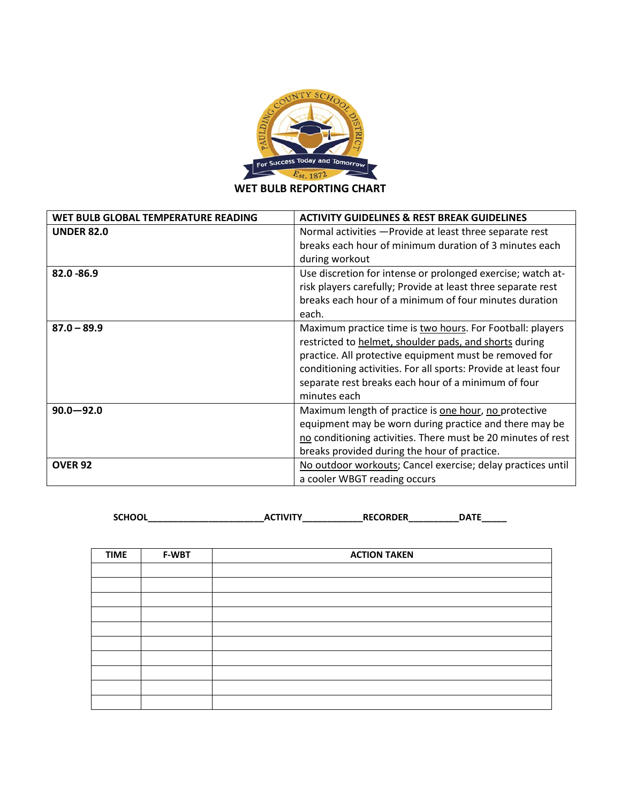

**WET BULB REPORTING CHART**

| WET BULB GLOBAL TEMPERATURE READING | <b>ACTIVITY GUIDELINES &amp; REST BREAK GUIDELINES</b>         |
|-------------------------------------|----------------------------------------------------------------|
| <b>UNDER 82.0</b>                   | Normal activities - Provide at least three separate rest       |
|                                     | breaks each hour of minimum duration of 3 minutes each         |
|                                     | during workout                                                 |
| 82.0 - 86.9                         | Use discretion for intense or prolonged exercise; watch at-    |
|                                     | risk players carefully; Provide at least three separate rest   |
|                                     | breaks each hour of a minimum of four minutes duration         |
|                                     | each.                                                          |
| $87.0 - 89.9$                       | Maximum practice time is two hours. For Football: players      |
|                                     | restricted to helmet, shoulder pads, and shorts during         |
|                                     | practice. All protective equipment must be removed for         |
|                                     | conditioning activities. For all sports: Provide at least four |
|                                     | separate rest breaks each hour of a minimum of four            |
|                                     | minutes each                                                   |
| $90.0 - 92.0$                       | Maximum length of practice is one hour, no protective          |
|                                     | equipment may be worn during practice and there may be         |
|                                     | no conditioning activities. There must be 20 minutes of rest   |
|                                     | breaks provided during the hour of practice.                   |
| <b>OVER 92</b>                      | No outdoor workouts; Cancel exercise; delay practices until    |
|                                     | a cooler WBGT reading occurs                                   |

**SCHOOL\_\_\_\_\_\_\_\_\_\_\_\_\_\_\_\_\_\_\_\_\_\_\_ACTIVITY\_\_\_\_\_\_\_\_\_\_\_\_RECORDER\_\_\_\_\_\_\_\_\_\_DATE\_\_\_\_\_**

| <b>TIME</b> | <b>F-WBT</b> | <b>ACTION TAKEN</b> |
|-------------|--------------|---------------------|
|             |              |                     |
|             |              |                     |
|             |              |                     |
|             |              |                     |
|             |              |                     |
|             |              |                     |
|             |              |                     |
|             |              |                     |
|             |              |                     |
|             |              |                     |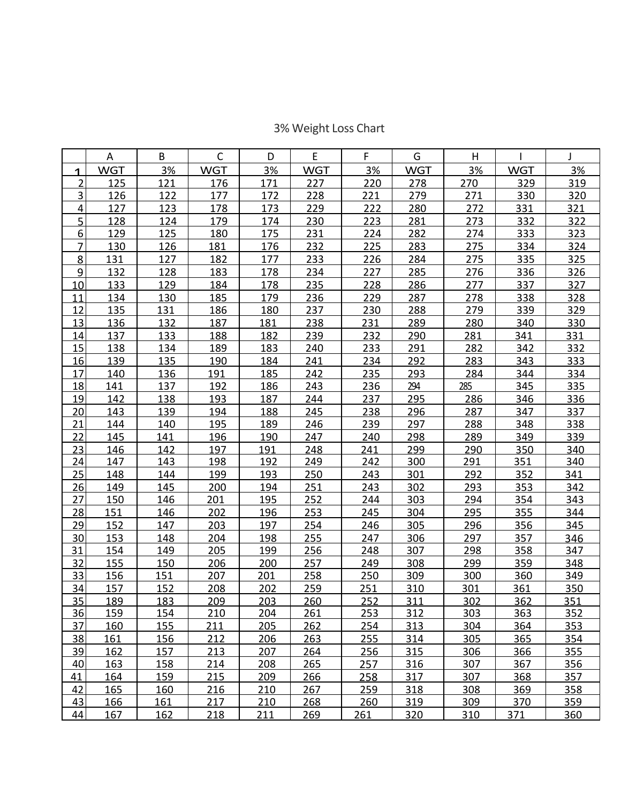# 3% Weight Loss Chart

|                | A          | B   | $\mathsf C$ | D   | E          | F          | G          | H   |            | J          |
|----------------|------------|-----|-------------|-----|------------|------------|------------|-----|------------|------------|
| 1              | <b>WGT</b> | 3%  | <b>WGT</b>  | 3%  | <b>WGT</b> | 3%         | <b>WGT</b> | 3%  | <b>WGT</b> | 3%         |
| $\overline{2}$ | 125        | 121 | 176         | 171 | 227        | 220        | 278        | 270 | 329        | 319        |
| 3              | <u>126</u> | 122 | 177         | 172 | 228        | 221        | 279        | 271 | 330        | 320        |
| 4              | 127        | 123 | 178         | 173 | 229        | 222        | 280        | 272 | 331        | <u>321</u> |
| 5              | 128        | 124 | 179         | 174 | 230        | 223        | 281        | 273 | 332        | 322        |
| 6              | 129        | 125 | 180         | 175 | 231        | 224        | 282        | 274 | 333        | 323        |
| 7              | 130        | 126 | 181         | 176 | 232        | 225        | 283        | 275 | 334        | 324        |
| 8              | 131        | 127 | 182         | 177 | 233        | 226        | 284        | 275 | 335        | 325        |
| 9              | 132        | 128 | 183         | 178 | 234        | 227        | 285        | 276 | 336        | 326        |
| 10             | 133        | 129 | 184         | 178 | 235        | 228        | 286        | 277 | 337        | 327        |
| 11             | 134        | 130 | 185         | 179 | 236        | 229        | 287        | 278 | 338        | 328        |
| 12             | 135        | 131 | 186         | 180 | 237        | 230        | 288        | 279 | 339        | 329        |
| 13             | 136        | 132 | 187         | 181 | 238        | 231        | 289        | 280 | 340        | 330        |
| 14             | 137        | 133 | 188         | 182 | 239        | 232        | 290        | 281 | 341        | 331        |
| 15             | 138        | 134 | 189         | 183 | 240        | 233        | 291        | 282 | 342        | 332        |
| 16             | 139        | 135 | 190         | 184 | 241        | 234        | 292        | 283 | 343        | 333        |
| 17             | 140        | 136 | 191         | 185 | 242        | 235        | 293        | 284 | 344        | 334        |
| 18             | 141        | 137 | 192         | 186 | 243        | 236        | 294        | 285 | 345        | 335        |
| 19             | 142        | 138 | 193         | 187 | 244        | 237        | 295        | 286 | 346        | 336        |
| 20             | 143        | 139 | 194         | 188 | 245        | 238        | 296        | 287 | 347        | 337        |
| 21             | 144        | 140 | 195         | 189 | 246        | 239        | 297        | 288 | 348        | 338        |
| 22             | 145        | 141 | 196         | 190 | 247        | 240        | 298        | 289 | 349        | 339        |
| 23             | 146        | 142 | 197         | 191 | 248        | 241        | 299        | 290 | 350        | 340        |
| 24             | 147        | 143 | 198         | 192 | 249        | 242        | 300        | 291 | 351        | 340        |
| 25             | 148        | 144 | 199         | 193 | 250        | 243        | 301        | 292 | 352        | 341        |
| 26             | 149        | 145 | 200         | 194 | 251        | 243        | 302        | 293 | 353        | 342        |
| 27             | 150        | 146 | 201         | 195 | 252        | 244        | 303        | 294 | 354        | 343        |
| <u>28</u>      | 151        | 146 | 202         | 196 | 253        | 245        | 304        | 295 | 355        | 344        |
| <u>29</u>      | 152        | 147 | 203         | 197 | 254        | 246        | 305        | 296 | 356        | 345        |
| 30             | 153        | 148 | 204         | 198 | 255        | 247        | 306        | 297 | 357        | 346        |
| 31             | 154        | 149 | 205         | 199 | 256        | 248        | 307        | 298 | 358        | 347        |
| 32             | 155        | 150 | 206         | 200 | 257        | 249        | 308        | 299 | 359        | 348        |
| 33             | 156        | 151 | 207         | 201 | 258        | 250        | 309        | 300 | 360        | 349        |
| 34             | 157        | 152 | 208         | 202 | 259        | 251        | 310        | 301 | 361        | 350        |
| 35             | 189        | 183 | 209         | 203 | 260        | 252        | 311        | 302 | 362        | 351        |
| 36             | 159        | 154 | 210         | 204 | 261        | 253        | 312        | 303 | 363        | 352        |
| 37             | 160        | 155 | 211         | 205 | 262        | 254        | 313        | 304 | 364        | 353        |
| 38             | 161        | 156 | 212         | 206 | 263        | 255        | 314        | 305 | 365        | 354        |
| <u>39</u>      | 162        | 157 | 213         | 207 | 264        | 256        | 315        | 306 | 366        | 355        |
| 40             | 163        | 158 | 214         | 208 | 265        | <u>257</u> | 316        | 307 | 367        | 356        |
| 41             | 164        | 159 | 215         | 209 | 266        | 258        | 317        | 307 | 368        | 357        |
| 42             | 165        | 160 | 216         | 210 | 267        | 259        | 318        | 308 | 369        | 358        |
| 43             | 166        | 161 | 217         | 210 | 268        | 260        | 319        | 309 | 370        | 359        |
| 44             | 167        | 162 | 218         | 211 | 269        | 261        | 320        | 310 | 371        | 360        |